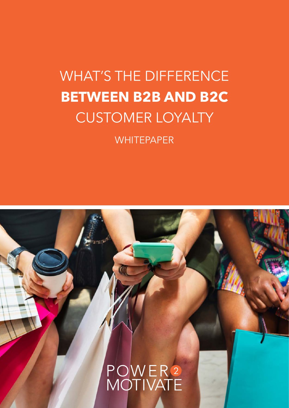# WHAT'S THE DIFFERENCE **BETWEEN B2B AND B2C** CUSTOMER LOYALTY

**WHITEPAPER** 

POWER2<br>MOTIVATE

**1.** WHATS THE DIFFERENCE BETWEEN B2B AND B2C CUSTOMER LOYALTY? | power2motivate.com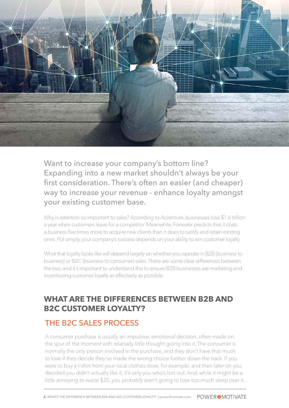

Want to increase your company's bottom line? Expanding into a new market shouldn't always be your first consideration. There's often an easier (and cheaper) way to increase your revenue - enhance loyalty amongst your existing customer base.

Why is retention so important to sales? According to Accenture, businesses lose \$1.6 trillion a year when customers leave for a competitor. Meanwhile, Forrester predicts that it costs a business five times more to acquire new clients than it does to satisfy and retain existing ones. Put simply, your company's success depends on your ability to win customer loyalty.

What that loyalty looks like will depend largely on whether you operate in B2B (business to business) or B2C (business to consumer) sales. There are some clear differences between the two, and it's important to understand this to ensure B2B businesses are marketing and incentivising customer loyalty as effectively as possible.

## **WHAT ARE THE DIFFERENCES BETWEEN B2B AND B2C CUSTOMER LOYALTY?**

### THE B2C SALES PROCESS

A consumer purchase is usually an impulsive, emotional decision, often made on the spur of the moment with relatively little thought going into it. The consumer is normally the only person involved in the purchase, and they don't have that much to lose if they decide they've made the wrong choice further down the track. If you were to buy a t-shirt from your local clothes store, for example, and then later on you decided you didn't actually like it, it's only you who's lost out. And, while it might be a little annoying to waste \$20, you probably aren't going to lose too much sleep over it. .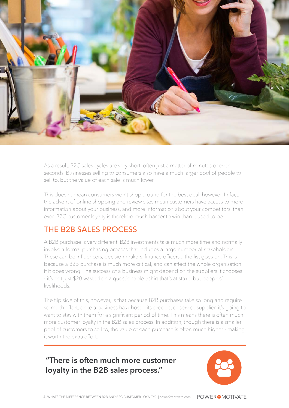

As a result, B2C sales cycles are very short, often just a matter of minutes or even seconds. Businesses selling to consumers also have a much larger pool of people to sell to, but the value of each sale is much lower.

This doesn't mean consumers won't shop around for the best deal, however. In fact, the advent of online shopping and review sites mean customers have access to more information about your business, and more information about your competitors, than ever. B2C customer loyalty is therefore much harder to win than it used to be.

#### THE B2B SALES PROCESS

.

A B2B purchase is very different. B2B investments take much more time and normally involve a formal purchasing process that includes a large number of stakeholders. These can be influencers, decision makers, finance officers... the list goes on. This is because a B2B purchase is much more critical, and can affect the whole organisation if it goes wrong. The success of a business might depend on the suppliers it chooses - it's not just \$20 wasted on a questionable t-shirt that's at stake, but peoples' livelihoods.

The flip side of this, however, is that because B2B purchases take so long and require so much effort, once a business has chosen its product or service supplier, it's going to want to stay with them for a significant period of time. This means there is often much more customer loyalty in the B2B sales process. In addition, though there is a smaller pool of customers to sell to, the value of each purchase is often much higher - making it worth the extra effort.

#### **"There is often much more customer loyalty in the B2B sales process."**

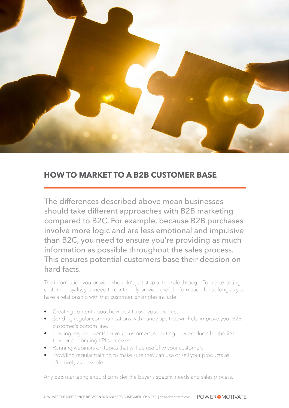

#### **HOW TO MARKET TO A B2B CUSTOMER BASE**

The differences described above mean businesses should take different approaches with B2B marketing compared to B2C. For example, because B2B purchases involve more logic and are less emotional and impulsive than B2C, you need to ensure you're providing as much information as possible throughout the sales process. This ensures potential customers base their decision on hard facts.

The information you provide shouldn't just stop at the sale through. To create lasting customer loyalty, you need to continually provide useful information for as long as you have a relationship with that customer. Examples include:

- Creating content about how best to use your product.
- Sending regular communications with handy tips that will help improve your B2B customer's bottom line.
- Hosting regular events for your customers, debuting new products for the first time or celebrating KPI successes.
- Running webinars on topics that will be useful to your customers.
- Providing regular training to make sure they can use or sell your products as effectively as possible.

Any B2B marketing should consider the buyer's specific needs and sales process.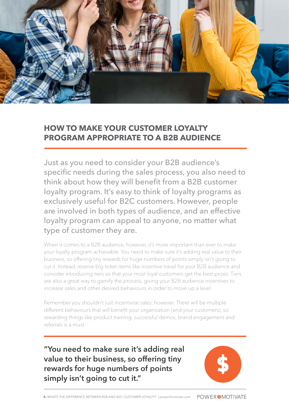

#### **HOW TO MAKE YOUR CUSTOMER LOYALTY PROGRAM APPROPRIATE TO A B2B AUDIENCE**

Just as you need to consider your B2B audience's specific needs during the sales process, you also need to think about how they will benefit from a B2B customer loyalty program. It's easy to think of loyalty programs as exclusively useful for B2C customers. However, people are involved in both types of audience, and an effective loyalty program can appeal to anyone, no matter what type of customer they are.

When it comes to a B2B audience, however, it's more important than ever to make your loyalty program achievable. You need to make sure it's adding real value to their business, so offering tiny rewards for huge numbers of points simply isn't going to cut it. Instead, reserve big ticket items like incentive travel for your B2B audience and consider introducing tiers so that your most loyal customers get the best prizes. Tiers are also a great way to gamify the process, giving your B2B audience incentives to increase sales and other desired behaviours in order to move up a level.

Remember you shouldn't just incentivise sales, however. There will be multiple different behaviours that will benefit your organisation (and your customers), so rewarding things like product training, successful demos, brand engagement and referrals is a must.

**"You need to make sure it's adding real value to their business, so offering tiny rewards for huge numbers of points simply isn't going to cut it."**